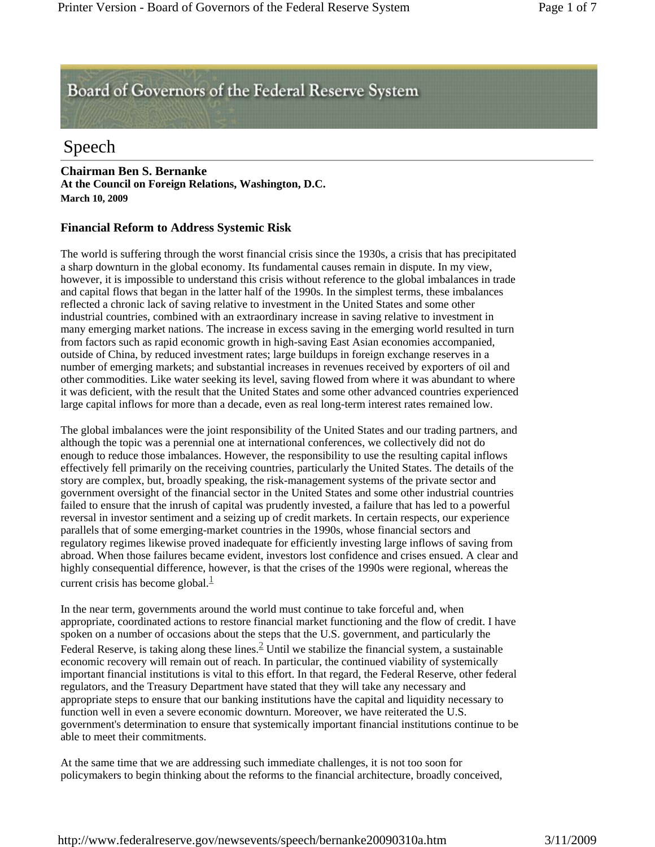# Board of Governors of the Federal Reserve System

## Speech

**Chairman Ben S. Bernanke At the Council on Foreign Relations, Washington, D.C. March 10, 2009** 

### **Financial Reform to Address Systemic Risk**

The world is suffering through the worst financial crisis since the 1930s, a crisis that has precipitated a sharp downturn in the global economy. Its fundamental causes remain in dispute. In my view, however, it is impossible to understand this crisis without reference to the global imbalances in trade and capital flows that began in the latter half of the 1990s. In the simplest terms, these imbalances reflected a chronic lack of saving relative to investment in the United States and some other industrial countries, combined with an extraordinary increase in saving relative to investment in many emerging market nations. The increase in excess saving in the emerging world resulted in turn from factors such as rapid economic growth in high-saving East Asian economies accompanied, outside of China, by reduced investment rates; large buildups in foreign exchange reserves in a number of emerging markets; and substantial increases in revenues received by exporters of oil and other commodities. Like water seeking its level, saving flowed from where it was abundant to where it was deficient, with the result that the United States and some other advanced countries experienced large capital inflows for more than a decade, even as real long-term interest rates remained low.

The global imbalances were the joint responsibility of the United States and our trading partners, and although the topic was a perennial one at international conferences, we collectively did not do enough to reduce those imbalances. However, the responsibility to use the resulting capital inflows effectively fell primarily on the receiving countries, particularly the United States. The details of the story are complex, but, broadly speaking, the risk-management systems of the private sector and government oversight of the financial sector in the United States and some other industrial countries failed to ensure that the inrush of capital was prudently invested, a failure that has led to a powerful reversal in investor sentiment and a seizing up of credit markets. In certain respects, our experience parallels that of some emerging-market countries in the 1990s, whose financial sectors and regulatory regimes likewise proved inadequate for efficiently investing large inflows of saving from abroad. When those failures became evident, investors lost confidence and crises ensued. A clear and highly consequential difference, however, is that the crises of the 1990s were regional, whereas the current crisis has become global. $\frac{1}{1}$ 

In the near term, governments around the world must continue to take forceful and, when appropriate, coordinated actions to restore financial market functioning and the flow of credit. I have spoken on a number of occasions about the steps that the U.S. government, and particularly the Federal Reserve, is taking along these lines.  $\frac{2}{3}$  Until we stabilize the financial system, a sustainable economic recovery will remain out of reach. In particular, the continued viability of systemically important financial institutions is vital to this effort. In that regard, the Federal Reserve, other federal regulators, and the Treasury Department have stated that they will take any necessary and appropriate steps to ensure that our banking institutions have the capital and liquidity necessary to function well in even a severe economic downturn. Moreover, we have reiterated the U.S. government's determination to ensure that systemically important financial institutions continue to be able to meet their commitments.

At the same time that we are addressing such immediate challenges, it is not too soon for policymakers to begin thinking about the reforms to the financial architecture, broadly conceived,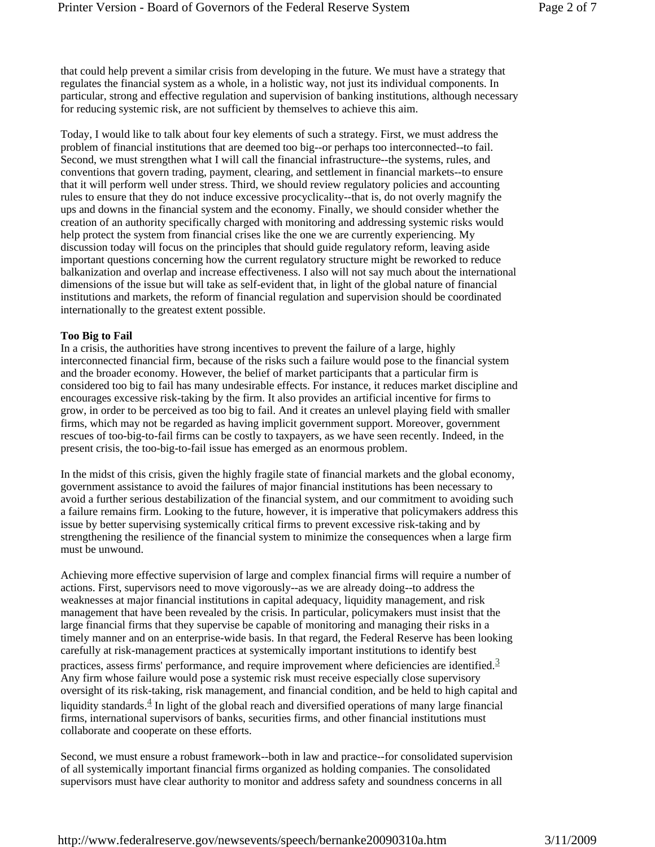that could help prevent a similar crisis from developing in the future. We must have a strategy that regulates the financial system as a whole, in a holistic way, not just its individual components. In particular, strong and effective regulation and supervision of banking institutions, although necessary for reducing systemic risk, are not sufficient by themselves to achieve this aim.

Today, I would like to talk about four key elements of such a strategy. First, we must address the problem of financial institutions that are deemed too big--or perhaps too interconnected--to fail. Second, we must strengthen what I will call the financial infrastructure--the systems, rules, and conventions that govern trading, payment, clearing, and settlement in financial markets--to ensure that it will perform well under stress. Third, we should review regulatory policies and accounting rules to ensure that they do not induce excessive procyclicality--that is, do not overly magnify the ups and downs in the financial system and the economy. Finally, we should consider whether the creation of an authority specifically charged with monitoring and addressing systemic risks would help protect the system from financial crises like the one we are currently experiencing. My discussion today will focus on the principles that should guide regulatory reform, leaving aside important questions concerning how the current regulatory structure might be reworked to reduce balkanization and overlap and increase effectiveness. I also will not say much about the international dimensions of the issue but will take as self-evident that, in light of the global nature of financial institutions and markets, the reform of financial regulation and supervision should be coordinated internationally to the greatest extent possible.

#### **Too Big to Fail**

In a crisis, the authorities have strong incentives to prevent the failure of a large, highly interconnected financial firm, because of the risks such a failure would pose to the financial system and the broader economy. However, the belief of market participants that a particular firm is considered too big to fail has many undesirable effects. For instance, it reduces market discipline and encourages excessive risk-taking by the firm. It also provides an artificial incentive for firms to grow, in order to be perceived as too big to fail. And it creates an unlevel playing field with smaller firms, which may not be regarded as having implicit government support. Moreover, government rescues of too-big-to-fail firms can be costly to taxpayers, as we have seen recently. Indeed, in the present crisis, the too-big-to-fail issue has emerged as an enormous problem.

In the midst of this crisis, given the highly fragile state of financial markets and the global economy, government assistance to avoid the failures of major financial institutions has been necessary to avoid a further serious destabilization of the financial system, and our commitment to avoiding such a failure remains firm. Looking to the future, however, it is imperative that policymakers address this issue by better supervising systemically critical firms to prevent excessive risk-taking and by strengthening the resilience of the financial system to minimize the consequences when a large firm must be unwound.

Achieving more effective supervision of large and complex financial firms will require a number of actions. First, supervisors need to move vigorously--as we are already doing--to address the weaknesses at major financial institutions in capital adequacy, liquidity management, and risk management that have been revealed by the crisis. In particular, policymakers must insist that the large financial firms that they supervise be capable of monitoring and managing their risks in a timely manner and on an enterprise-wide basis. In that regard, the Federal Reserve has been looking carefully at risk-management practices at systemically important institutions to identify best practices, assess firms' performance, and require improvement where deficiencies are identified. $3$ Any firm whose failure would pose a systemic risk must receive especially close supervisory oversight of its risk-taking, risk management, and financial condition, and be held to high capital and liquidity standards. $\frac{4}{3}$  In light of the global reach and diversified operations of many large financial firms, international supervisors of banks, securities firms, and other financial institutions must collaborate and cooperate on these efforts.

Second, we must ensure a robust framework--both in law and practice--for consolidated supervision of all systemically important financial firms organized as holding companies. The consolidated supervisors must have clear authority to monitor and address safety and soundness concerns in all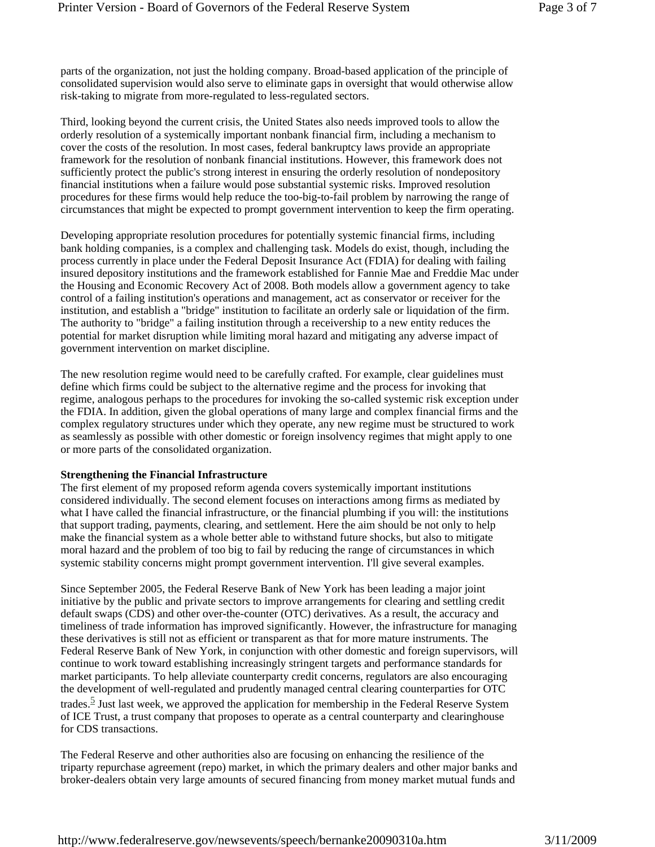parts of the organization, not just the holding company. Broad-based application of the principle of consolidated supervision would also serve to eliminate gaps in oversight that would otherwise allow risk-taking to migrate from more-regulated to less-regulated sectors.

Third, looking beyond the current crisis, the United States also needs improved tools to allow the orderly resolution of a systemically important nonbank financial firm, including a mechanism to cover the costs of the resolution. In most cases, federal bankruptcy laws provide an appropriate framework for the resolution of nonbank financial institutions. However, this framework does not sufficiently protect the public's strong interest in ensuring the orderly resolution of nondepository financial institutions when a failure would pose substantial systemic risks. Improved resolution procedures for these firms would help reduce the too-big-to-fail problem by narrowing the range of circumstances that might be expected to prompt government intervention to keep the firm operating.

Developing appropriate resolution procedures for potentially systemic financial firms, including bank holding companies, is a complex and challenging task. Models do exist, though, including the process currently in place under the Federal Deposit Insurance Act (FDIA) for dealing with failing insured depository institutions and the framework established for Fannie Mae and Freddie Mac under the Housing and Economic Recovery Act of 2008. Both models allow a government agency to take control of a failing institution's operations and management, act as conservator or receiver for the institution, and establish a "bridge" institution to facilitate an orderly sale or liquidation of the firm. The authority to "bridge" a failing institution through a receivership to a new entity reduces the potential for market disruption while limiting moral hazard and mitigating any adverse impact of government intervention on market discipline.

The new resolution regime would need to be carefully crafted. For example, clear guidelines must define which firms could be subject to the alternative regime and the process for invoking that regime, analogous perhaps to the procedures for invoking the so-called systemic risk exception under the FDIA. In addition, given the global operations of many large and complex financial firms and the complex regulatory structures under which they operate, any new regime must be structured to work as seamlessly as possible with other domestic or foreign insolvency regimes that might apply to one or more parts of the consolidated organization.

#### **Strengthening the Financial Infrastructure**

The first element of my proposed reform agenda covers systemically important institutions considered individually. The second element focuses on interactions among firms as mediated by what I have called the financial infrastructure, or the financial plumbing if you will: the institutions that support trading, payments, clearing, and settlement. Here the aim should be not only to help make the financial system as a whole better able to withstand future shocks, but also to mitigate moral hazard and the problem of too big to fail by reducing the range of circumstances in which systemic stability concerns might prompt government intervention. I'll give several examples.

Since September 2005, the Federal Reserve Bank of New York has been leading a major joint initiative by the public and private sectors to improve arrangements for clearing and settling credit default swaps (CDS) and other over-the-counter (OTC) derivatives. As a result, the accuracy and timeliness of trade information has improved significantly. However, the infrastructure for managing these derivatives is still not as efficient or transparent as that for more mature instruments. The Federal Reserve Bank of New York, in conjunction with other domestic and foreign supervisors, will continue to work toward establishing increasingly stringent targets and performance standards for market participants. To help alleviate counterparty credit concerns, regulators are also encouraging the development of well-regulated and prudently managed central clearing counterparties for OTC trades.<sup>5</sup> Just last week, we approved the application for membership in the Federal Reserve System of ICE Trust, a trust company that proposes to operate as a central counterparty and clearinghouse for CDS transactions.

The Federal Reserve and other authorities also are focusing on enhancing the resilience of the triparty repurchase agreement (repo) market, in which the primary dealers and other major banks and broker-dealers obtain very large amounts of secured financing from money market mutual funds and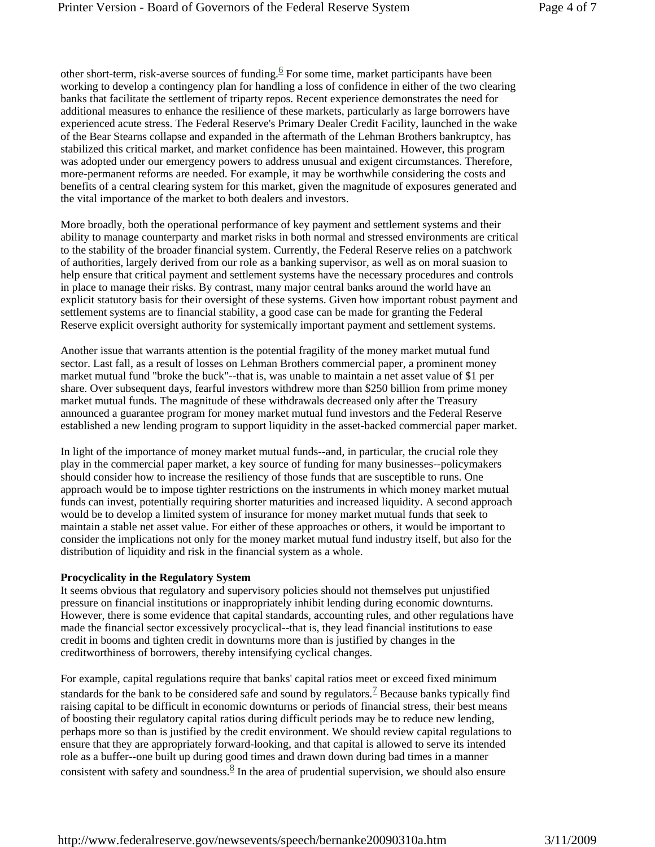other short-term, risk-averse sources of funding.<sup>6</sup> For some time, market participants have been working to develop a contingency plan for handling a loss of confidence in either of the two clearing banks that facilitate the settlement of triparty repos. Recent experience demonstrates the need for additional measures to enhance the resilience of these markets, particularly as large borrowers have experienced acute stress. The Federal Reserve's Primary Dealer Credit Facility, launched in the wake of the Bear Stearns collapse and expanded in the aftermath of the Lehman Brothers bankruptcy, has stabilized this critical market, and market confidence has been maintained. However, this program was adopted under our emergency powers to address unusual and exigent circumstances. Therefore, more-permanent reforms are needed. For example, it may be worthwhile considering the costs and benefits of a central clearing system for this market, given the magnitude of exposures generated and the vital importance of the market to both dealers and investors.

More broadly, both the operational performance of key payment and settlement systems and their ability to manage counterparty and market risks in both normal and stressed environments are critical to the stability of the broader financial system. Currently, the Federal Reserve relies on a patchwork of authorities, largely derived from our role as a banking supervisor, as well as on moral suasion to help ensure that critical payment and settlement systems have the necessary procedures and controls in place to manage their risks. By contrast, many major central banks around the world have an explicit statutory basis for their oversight of these systems. Given how important robust payment and settlement systems are to financial stability, a good case can be made for granting the Federal Reserve explicit oversight authority for systemically important payment and settlement systems.

Another issue that warrants attention is the potential fragility of the money market mutual fund sector. Last fall, as a result of losses on Lehman Brothers commercial paper, a prominent money market mutual fund "broke the buck"--that is, was unable to maintain a net asset value of \$1 per share. Over subsequent days, fearful investors withdrew more than \$250 billion from prime money market mutual funds. The magnitude of these withdrawals decreased only after the Treasury announced a guarantee program for money market mutual fund investors and the Federal Reserve established a new lending program to support liquidity in the asset-backed commercial paper market.

In light of the importance of money market mutual funds--and, in particular, the crucial role they play in the commercial paper market, a key source of funding for many businesses--policymakers should consider how to increase the resiliency of those funds that are susceptible to runs. One approach would be to impose tighter restrictions on the instruments in which money market mutual funds can invest, potentially requiring shorter maturities and increased liquidity. A second approach would be to develop a limited system of insurance for money market mutual funds that seek to maintain a stable net asset value. For either of these approaches or others, it would be important to consider the implications not only for the money market mutual fund industry itself, but also for the distribution of liquidity and risk in the financial system as a whole.

#### **Procyclicality in the Regulatory System**

It seems obvious that regulatory and supervisory policies should not themselves put unjustified pressure on financial institutions or inappropriately inhibit lending during economic downturns. However, there is some evidence that capital standards, accounting rules, and other regulations have made the financial sector excessively procyclical--that is, they lead financial institutions to ease credit in booms and tighten credit in downturns more than is justified by changes in the creditworthiness of borrowers, thereby intensifying cyclical changes.

For example, capital regulations require that banks' capital ratios meet or exceed fixed minimum standards for the bank to be considered safe and sound by regulators.<sup>7</sup> Because banks typically find raising capital to be difficult in economic downturns or periods of financial stress, their best means of boosting their regulatory capital ratios during difficult periods may be to reduce new lending, perhaps more so than is justified by the credit environment. We should review capital regulations to ensure that they are appropriately forward-looking, and that capital is allowed to serve its intended role as a buffer--one built up during good times and drawn down during bad times in a manner consistent with safety and soundness.  $8 \text{ In the area of prudential supervision, we should also ensure}$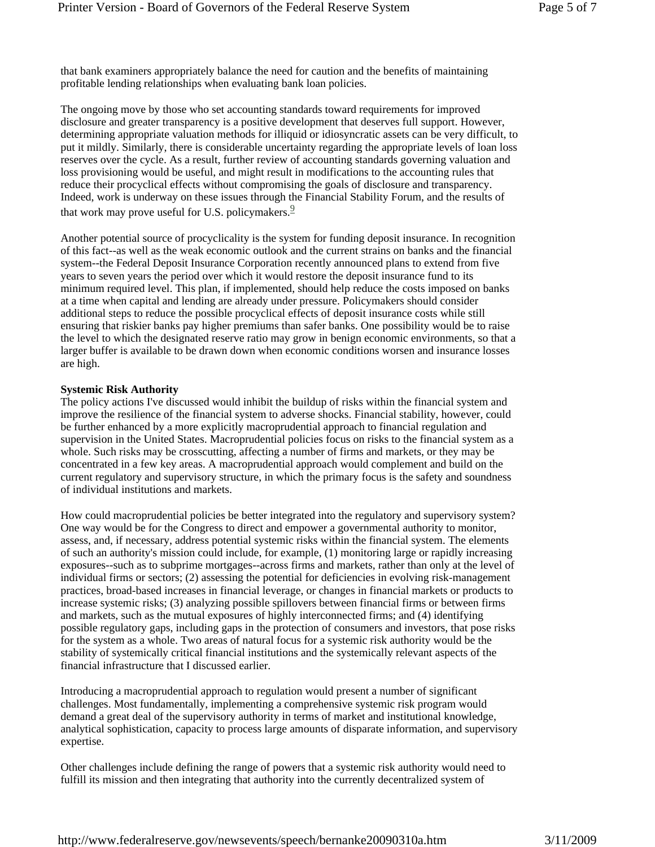that bank examiners appropriately balance the need for caution and the benefits of maintaining profitable lending relationships when evaluating bank loan policies.

The ongoing move by those who set accounting standards toward requirements for improved disclosure and greater transparency is a positive development that deserves full support. However, determining appropriate valuation methods for illiquid or idiosyncratic assets can be very difficult, to put it mildly. Similarly, there is considerable uncertainty regarding the appropriate levels of loan loss reserves over the cycle. As a result, further review of accounting standards governing valuation and loss provisioning would be useful, and might result in modifications to the accounting rules that reduce their procyclical effects without compromising the goals of disclosure and transparency. Indeed, work is underway on these issues through the Financial Stability Forum, and the results of that work may prove useful for U.S. policymakers.<sup>9</sup>

Another potential source of procyclicality is the system for funding deposit insurance. In recognition of this fact--as well as the weak economic outlook and the current strains on banks and the financial system--the Federal Deposit Insurance Corporation recently announced plans to extend from five years to seven years the period over which it would restore the deposit insurance fund to its minimum required level. This plan, if implemented, should help reduce the costs imposed on banks at a time when capital and lending are already under pressure. Policymakers should consider additional steps to reduce the possible procyclical effects of deposit insurance costs while still ensuring that riskier banks pay higher premiums than safer banks. One possibility would be to raise the level to which the designated reserve ratio may grow in benign economic environments, so that a larger buffer is available to be drawn down when economic conditions worsen and insurance losses are high.

#### **Systemic Risk Authority**

The policy actions I've discussed would inhibit the buildup of risks within the financial system and improve the resilience of the financial system to adverse shocks. Financial stability, however, could be further enhanced by a more explicitly macroprudential approach to financial regulation and supervision in the United States. Macroprudential policies focus on risks to the financial system as a whole. Such risks may be crosscutting, affecting a number of firms and markets, or they may be concentrated in a few key areas. A macroprudential approach would complement and build on the current regulatory and supervisory structure, in which the primary focus is the safety and soundness of individual institutions and markets.

How could macroprudential policies be better integrated into the regulatory and supervisory system? One way would be for the Congress to direct and empower a governmental authority to monitor, assess, and, if necessary, address potential systemic risks within the financial system. The elements of such an authority's mission could include, for example, (1) monitoring large or rapidly increasing exposures--such as to subprime mortgages--across firms and markets, rather than only at the level of individual firms or sectors; (2) assessing the potential for deficiencies in evolving risk-management practices, broad-based increases in financial leverage, or changes in financial markets or products to increase systemic risks; (3) analyzing possible spillovers between financial firms or between firms and markets, such as the mutual exposures of highly interconnected firms; and (4) identifying possible regulatory gaps, including gaps in the protection of consumers and investors, that pose risks for the system as a whole. Two areas of natural focus for a systemic risk authority would be the stability of systemically critical financial institutions and the systemically relevant aspects of the financial infrastructure that I discussed earlier.

Introducing a macroprudential approach to regulation would present a number of significant challenges. Most fundamentally, implementing a comprehensive systemic risk program would demand a great deal of the supervisory authority in terms of market and institutional knowledge, analytical sophistication, capacity to process large amounts of disparate information, and supervisory expertise.

Other challenges include defining the range of powers that a systemic risk authority would need to fulfill its mission and then integrating that authority into the currently decentralized system of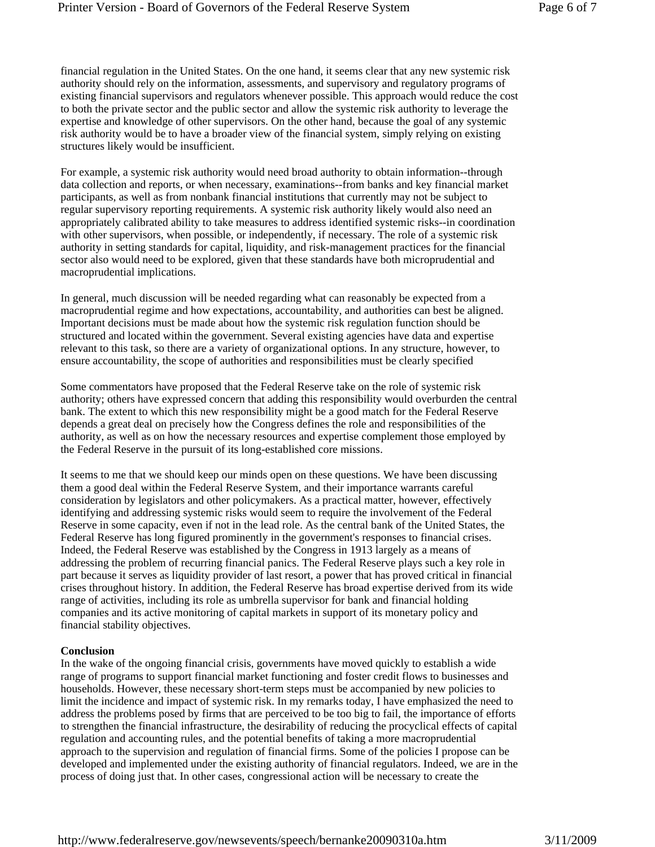financial regulation in the United States. On the one hand, it seems clear that any new systemic risk authority should rely on the information, assessments, and supervisory and regulatory programs of existing financial supervisors and regulators whenever possible. This approach would reduce the cost to both the private sector and the public sector and allow the systemic risk authority to leverage the expertise and knowledge of other supervisors. On the other hand, because the goal of any systemic risk authority would be to have a broader view of the financial system, simply relying on existing structures likely would be insufficient.

For example, a systemic risk authority would need broad authority to obtain information--through data collection and reports, or when necessary, examinations--from banks and key financial market participants, as well as from nonbank financial institutions that currently may not be subject to regular supervisory reporting requirements. A systemic risk authority likely would also need an appropriately calibrated ability to take measures to address identified systemic risks--in coordination with other supervisors, when possible, or independently, if necessary. The role of a systemic risk authority in setting standards for capital, liquidity, and risk-management practices for the financial sector also would need to be explored, given that these standards have both microprudential and macroprudential implications.

In general, much discussion will be needed regarding what can reasonably be expected from a macroprudential regime and how expectations, accountability, and authorities can best be aligned. Important decisions must be made about how the systemic risk regulation function should be structured and located within the government. Several existing agencies have data and expertise relevant to this task, so there are a variety of organizational options. In any structure, however, to ensure accountability, the scope of authorities and responsibilities must be clearly specified

Some commentators have proposed that the Federal Reserve take on the role of systemic risk authority; others have expressed concern that adding this responsibility would overburden the central bank. The extent to which this new responsibility might be a good match for the Federal Reserve depends a great deal on precisely how the Congress defines the role and responsibilities of the authority, as well as on how the necessary resources and expertise complement those employed by the Federal Reserve in the pursuit of its long-established core missions.

It seems to me that we should keep our minds open on these questions. We have been discussing them a good deal within the Federal Reserve System, and their importance warrants careful consideration by legislators and other policymakers. As a practical matter, however, effectively identifying and addressing systemic risks would seem to require the involvement of the Federal Reserve in some capacity, even if not in the lead role. As the central bank of the United States, the Federal Reserve has long figured prominently in the government's responses to financial crises. Indeed, the Federal Reserve was established by the Congress in 1913 largely as a means of addressing the problem of recurring financial panics. The Federal Reserve plays such a key role in part because it serves as liquidity provider of last resort, a power that has proved critical in financial crises throughout history. In addition, the Federal Reserve has broad expertise derived from its wide range of activities, including its role as umbrella supervisor for bank and financial holding companies and its active monitoring of capital markets in support of its monetary policy and financial stability objectives.

#### **Conclusion**

In the wake of the ongoing financial crisis, governments have moved quickly to establish a wide range of programs to support financial market functioning and foster credit flows to businesses and households. However, these necessary short-term steps must be accompanied by new policies to limit the incidence and impact of systemic risk. In my remarks today, I have emphasized the need to address the problems posed by firms that are perceived to be too big to fail, the importance of efforts to strengthen the financial infrastructure, the desirability of reducing the procyclical effects of capital regulation and accounting rules, and the potential benefits of taking a more macroprudential approach to the supervision and regulation of financial firms. Some of the policies I propose can be developed and implemented under the existing authority of financial regulators. Indeed, we are in the process of doing just that. In other cases, congressional action will be necessary to create the